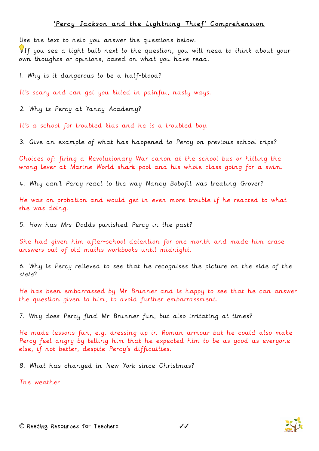## 'Percy Jackson and the Lightning Thief' Comprehension

Use the text to help you answer the questions below.

If you see a light bulb next to the question, you will need to think about your own thoughts or opinions, based on what you have read.

1. Why is it dangerous to be a half-blood?

It's scary and can get you killed in painful, nasty ways.

2. Why is Percy at Yancy Academy?

It's a school for troubled kids and he is a troubled boy.

3. Give an example of what has happened to Percy on previous school trips?

Choices of: firing a Revolutionary War canon at the school bus or hitting the wrong lever at Marine World shark pool and his whole class going for a swim.

4. Why can't Percy react to the way Nancy Bobofit was treating Grover?

He was on probation and would get in even more trouble if he reacted to what she was doing.

5. How has Mrs Dodds punished Percy in the past?

She had given him after-school detention for one month and made him erase answers out of old maths workbooks until midnight.

6. Why is Percy relieved to see that he recognises the picture on the side of the stele?

He has been embarrassed by Mr Brunner and is happy to see that he can answer the question given to him, to avoid further embarrassment.

7. Why does Percy find Mr Brunner fun, but also irritating at times?

He made lessons fun, e.g. dressing up in Roman armour but he could also make Percy feel angry by telling him that he expected him to be as good as everyone else, if not better, despite Percy's difficulties.

8. What has changed in New York since Christmas?

The weather